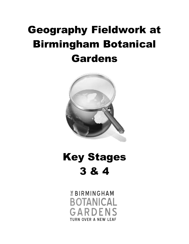# Geography Fieldwork at Birmingham Botanical Gardens



Key Stages 3 & 4

> *EBIRMINGHAM* **BOTANICAL** GARDENS **TURN OVER A NEW LEAF**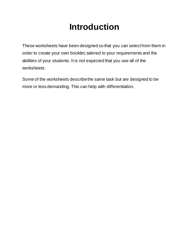### **Introduction**

These worksheets have been designed so that you can select from them in order to create your own booklet, tailored to your requirements and the abilities of your students. It is not expected that you use all of the worksheets.

Some of the worksheets describe the same task but are designed to be more or less demanding. This can help with differentiation.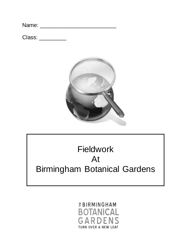Class: \_\_\_\_\_\_\_\_\_



### Fieldwork At Birmingham Botanical Gardens

### *EBIRMINGHAM* **BOTANICAL** GARDEI **TURN OVER A NEW LEAF**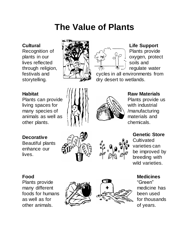### **The Value of Plants**

#### **Cultural**

Recognition of plants in our lives reflected through religion, festivals and storytelling.





### **Life Support**

Plants provide oxygen, protect soils and regulate water

cycles in all environments from dry desert to wetlands.

#### **Habitat**

Plants can provide living spaces for many species of animals as well as other plants.

### **Decorative**

Beautiful plants enhance our lives.





#### **Raw Materials**

Plants provide us with industrial /manufacturing materials and chemicals.





**Cultivated** varieties can be improved by breeding with wild varieties.

#### **Food**

Plants provide many different foods for humans as well as for other animals.





#### **Medicines**

"Green" medicine has been used for thousands of years.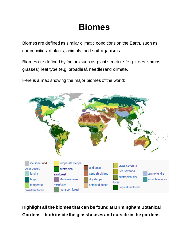### **Biomes**

Biomes are defined as similar climatic conditions on the Earth, such as communities of plants, animals, and soil organisms.

Biomes are defined by factors such as plant structure (e.g. trees, shrubs, grasses), leaf type (e.g. broadleaf, needle) and climate.

Here is a map showing the major biomes of the world:



**Highlight all the biomes that can be found at Birmingham Botanical Gardens – both inside the glasshouses and outside in the gardens.**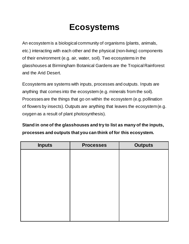### **Ecosystems**

An ecosystem is a biological community of organisms (plants, animals, etc.) interacting with each other and the physical (non-living) components of their environment (e.g. air, water, soil). Two ecosystems in the glasshouses at Birmingham Botanical Gardens are the Tropical Rainforest and the Arid Desert.

Ecosystems are systems with inputs, processes and outputs. Inputs are anything that comes into the ecosystem (e.g. minerals from the soil). Processes are the things that go on within the ecosystem (e.g. pollination of flowers by insects). Outputs are anything that leaves the ecosystem (e.g. oxygen as a result of plant photosynthesis).

**Stand in one of the glasshouses and try to list as many of the inputs, processes and outputs that you can think of for this ecosystem.**

| <b>Outputs</b> |
|----------------|
|                |
|                |
|                |
|                |
|                |
|                |
|                |
|                |
|                |
|                |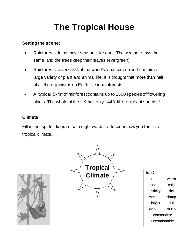## **The Tropical House**

#### **Setting the scene:**

- Rainforests do not have seasons like ours. The weather stays the same, and the trees keep their leaves (evergreen).
- Rainforests cover 6-8% of the world's land surface and contain a large variety of plant and animal life. It is thought that more than half of all the organisms on Earth live in rainforests!
- $\bullet$  A 'typical' 5km<sup>2</sup> of rainforest contains up to 1500 species of flowering plants. The whole of the UK has only 1443 different plant species!

#### **Climate**

Fill in the 'spider diagram' with eight words to describe how you feel in a tropical climate.





| ls it?        |       |  |
|---------------|-------|--|
| hot           | warm  |  |
| cool          | cold  |  |
| sticky        | dry   |  |
| wet           | damp  |  |
| bright        | dull  |  |
| dark          | musty |  |
| comfortable   |       |  |
| uncomfortable |       |  |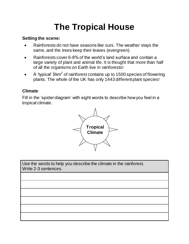## **The Tropical House**

#### **Setting the scene:**

- Rainforests do not have seasons like ours. The weather stays the same, and the trees keep their leaves (evergreen).
- Rainforests cover 6-8% of the world's land surface and contain a large variety of plant and animal life. It is thought that more than half of all the organisms on Earth live in rainforests!
- $\bullet$  A 'typical' 5km<sup>2</sup> of rainforest contains up to 1500 species of flowering plants. The whole of the UK has only 1443 different plant species!

#### **Climate**

Fill in the 'spider diagram' with eight words to describe how you feel in a tropical climate.



Use the words to help you describe the climate in the rainforest. Write 2-3 sentences.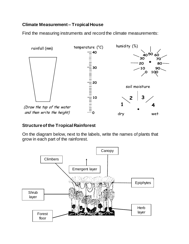#### **Climate Measurement – Tropical House**

Find the measuring instruments and record the climate measurements: **10**



#### **Structure of the Tropical Rainforest**

On the diagram below, next to the labels, write the names of plants that grow in each part of the rainforest. **0 10 100 90**

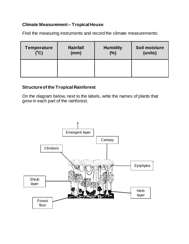#### **Climate Measurement – Tropical House**

Find the measuring instruments and record the climate measurements:

| <b>Temperature</b> | <b>Rainfall</b> | <b>Humidity</b> | Soil moisture |
|--------------------|-----------------|-----------------|---------------|
| $(^{\circ}C)$      | (mm)            | (%)             | (units)       |
|                    |                 |                 |               |

#### **Structure of the Tropical Rainforest**

On the diagram below, next to the labels, write the names of plants that grow in each part of the rainforest.

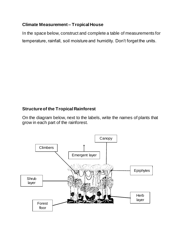#### **Climate Measurement – Tropical House**

In the space below, construct and complete a table of measurements for temperature, rainfall, soil moisture and humidity. Don't forget the units.

#### **Structure of the Tropical Rainforest**

On the diagram below, next to the labels, write the names of plants that grow in each part of the rainforest.

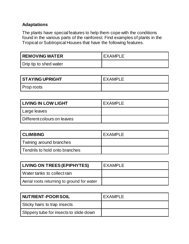The plants have special features to help them cope with the conditions found in the various parts of the rainforest. Find examples of plants in the Tropical or Subtropical Houses that have the following features.

| REMOVING WATER         | EXAMPLE |
|------------------------|---------|
| Drip tip to shed water |         |

| STAYING UPRIGHT | EXAMPLE |
|-----------------|---------|
| Prop roots      |         |

| <b>LIVING IN LOW LIGHT</b>  | EXAMPLE |
|-----------------------------|---------|
| ' Large leaves              |         |
| Different colours on leaves |         |

| <b>CLIMBING</b>                | <b>EXAMPLE</b> |
|--------------------------------|----------------|
| Twining around branches        |                |
| Tendrils to hold onto branches |                |

| LIVING ON TREES (EPIPHYTES)                | EXAMPLE |
|--------------------------------------------|---------|
| l Water tanks to collect rain              |         |
| Aerial roots returning to ground for water |         |

| NUTRIENT-POOR SOIL                      | <b>EXAMPLE</b> |
|-----------------------------------------|----------------|
| Sticky hairs to trap insects            |                |
| Slippery tube for insects to slide down |                |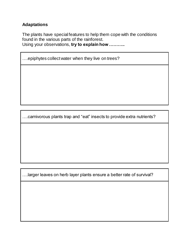The plants have special features to help them cope with the conditions found in the various parts of the rainforest. Using your observations, **try to explain how ………..**

….epiphytes collect water when they live on trees?

….carnivorous plants trap and "eat" insects to provide extra nutrients?

….larger leaves on herb layer plants ensure a better rate of survival?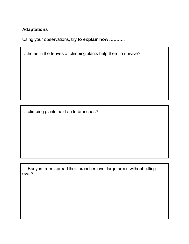Using your observations, **try to explain how ………..**

….holes in the leaves of climbing plants help them to survive?

….climbing plants hold on to branches?

….Banyan trees spread their branches over large areas without falling over?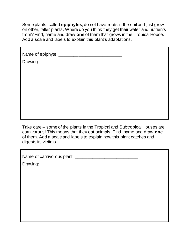Some plants, called **epiphytes**, do not have roots in the soil and just grow on other, taller plants. Where do you think they get their water and nutrients from? Find, name and draw **one** of them that grows in the Tropical House. Add a scale and labels to explain this plant's adaptations.

Name of epiphyte: \_\_\_\_\_\_\_\_\_\_\_\_\_\_\_\_\_\_\_\_\_\_\_\_\_\_

Drawing:

Take care – some of the plants in the Tropical and Subtropical Houses are carnivorous! This means that they eat animals. Find, name and draw **one** of them. Add a scale and labels to explain how this plant catches and digests its victims.

Name of carnivorous plant: \_\_\_\_\_\_\_\_\_\_\_\_\_\_\_\_\_\_\_\_\_\_\_\_\_\_

Drawing: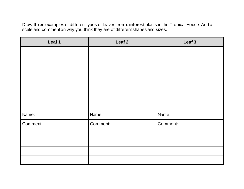Draw **three** examples of different types of leaves from rainforest plants in the Tropical House. Add a scale and comment on why you think they are of different shapes and sizes.

| Leaf 1   | Leaf <sub>2</sub> | Leaf 3   |
|----------|-------------------|----------|
|          |                   |          |
|          |                   |          |
|          |                   |          |
|          |                   |          |
|          |                   |          |
|          |                   |          |
|          |                   |          |
| Name:    | Name:             | Name:    |
| Comment: | Comment:          | Comment: |
|          |                   |          |
|          |                   |          |
|          |                   |          |
|          |                   |          |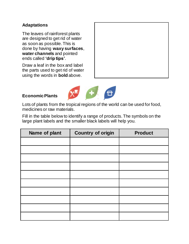The leaves of rainforest plants are designed to get rid of water as soon as possible. This is done by having **waxy surfaces**, **water channels** and pointed ends called **'drip tips'**.

Draw a leaf in the box and label the parts used to get rid of water using the words in **bold** above.



#### **Economic Plants**

Lots of plants from the tropical regions of the world can be used for food, medicines or raw materials.

Fill in the table below to identify a range of products. The symbols on the large plant labels and the smaller black labels will help you.

| Name of plant | <b>Country of origin</b> | <b>Product</b> |
|---------------|--------------------------|----------------|
|               |                          |                |
|               |                          |                |
|               |                          |                |
|               |                          |                |
|               |                          |                |
|               |                          |                |
|               |                          |                |
|               |                          |                |
|               |                          |                |
|               |                          |                |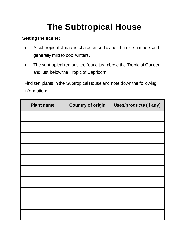## **The Subtropical House**

#### **Setting the scene:**

- A subtropical climate is characterised by hot, humid summers and generally mild to cool winters.
- The subtropical regions are found just above the Tropic of Cancer and just below the Tropic of Capricorn.

Find **ten** plants in the Subtropical House and note down the following information:

| <b>Plant name</b> | <b>Country of origin</b> | <b>Uses/products (if any)</b> |
|-------------------|--------------------------|-------------------------------|
|                   |                          |                               |
|                   |                          |                               |
|                   |                          |                               |
|                   |                          |                               |
|                   |                          |                               |
|                   |                          |                               |
|                   |                          |                               |
|                   |                          |                               |
|                   |                          |                               |
|                   |                          |                               |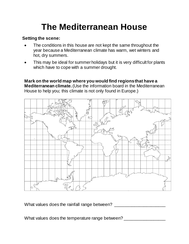### **The Mediterranean House**

#### **Setting the scene:**

- The conditions in this house are not kept the same throughout the year because a Mediterranean climate has warm, wet winters and hot, dry summers.
- This may be ideal for summer holidays but it is very difficult for plants which have to cope with a summer drought.

**Mark on the world map where you would find regions that have a Mediterranean climate.** (Use the information board in the Mediterranean House to help you; this climate is not only found in Europe.)



What values does the rainfall range between?

What values does the temperature range between? \_\_\_\_\_\_\_\_\_\_\_\_\_\_\_\_\_\_\_\_\_\_\_\_\_\_\_\_\_\_\_\_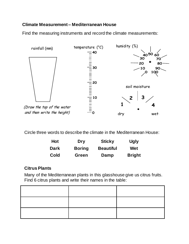#### **Climate Measurement – Mediterranean House**

Find the measuring instruments and record the climate measurements: **10**



Circle three words to describe the climate in the Mediterranean House:

| <b>Hot</b>  | <b>Dry</b>    | <b>Sticky</b>    | <b>Ugly</b>   |
|-------------|---------------|------------------|---------------|
| <b>Dark</b> | <b>Boring</b> | <b>Beautiful</b> | Wet           |
| Cold        | Green         | Damp             | <b>Bright</b> |

#### **Citrus Plants**

Many of the Mediterranean plants in this glasshouse give us citrus fruits. Find 6 citrus plants and write their names in the table: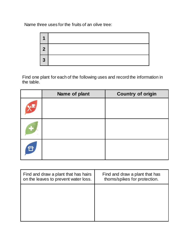Name three uses for the fruits of an olive tree:



Find one plant for each of the following uses and record the information in the table.

| Name of plant | <b>Country of origin</b> |
|---------------|--------------------------|
|               |                          |
|               |                          |
|               |                          |

| Find and draw a plant that has hairs<br>on the leaves to prevent water loss. | Find and draw a plant that has<br>thorns/spikes for protection. |
|------------------------------------------------------------------------------|-----------------------------------------------------------------|
|                                                                              |                                                                 |
|                                                                              |                                                                 |
|                                                                              |                                                                 |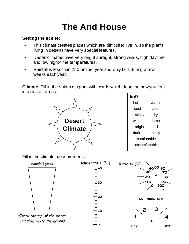### **The Arid House**

#### **Setting the scene:**

- This climate creates places which are difficult to live in, so the plants living in deserts have very special features.
- Desert climates have very bright sunlight, strong winds, high daytime and low night-time temperatures.
- Rainfall is less than 250mm per year and only falls during a few weeks each year.

**Climate:** Fill in the spider diagram with words which describe how you feel in a desert climate.



**Is it?** hot warm cool cold sticky dry wet damp bright dull dark musty **30 -3** comfortable uncomfortable **-12 -11 -10 -7 -4**

Fill in the climate measurements:

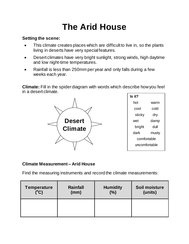### **The Arid House**

#### **Setting the scene:**

- This climate creates places which are difficult to live in, so the plants living in deserts have very special features.
- Desert climates have very bright sunlight, strong winds, high daytime and low night-time temperatures.
- Rainfall is less than 250mm per year and only falls during a few weeks each year.

**Climate:** Fill in the spider diagram with words which describe how you feel in a desert climate.



#### **Climate Measurement – Arid House**

Find the measuring instruments and record the climate measurements:

| <b>Temperature</b> | <b>Rainfall</b> | <b>Humidity</b> | Soil moisture |
|--------------------|-----------------|-----------------|---------------|
| $(^{\circ}C)$      | (mm)            | (%)             | (units)       |
|                    |                 |                 |               |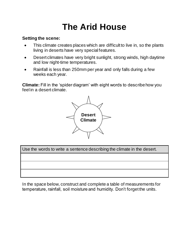### **The Arid House**

#### **Setting the scene:**

- This climate creates places which are difficult to live in, so the plants living in deserts have very special features.
- Desert climates have very bright sunlight, strong winds, high daytime and low night-time temperatures.
- Rainfall is less than 250mm per year and only falls during a few weeks each year.

**Climate:** Fill in the 'spider diagram' with eight words to describe how you feel in a desert climate.



Use the words to write a sentence describing the climate in the desert.

In the space below, construct and complete a table of measurements for temperature, rainfall, soil moisture and humidity. Don't forget the units.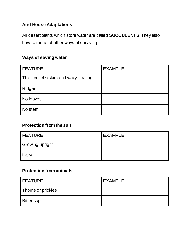#### **Arid House Adaptations**

All desert plants which store water are called **SUCCULENTS**. They also have a range of other ways of surviving.

#### **Ways of saving water**

| <b>FEATURE</b>                        | <b>EXAMPLE</b> |
|---------------------------------------|----------------|
| Thick cuticle (skin) and waxy coating |                |
| <b>Ridges</b>                         |                |
| No leaves                             |                |
| No stem                               |                |

#### **Protection from the sun**

| <b>FEATURE</b>  | <b>EXAMPLE</b> |
|-----------------|----------------|
| Growing upright |                |
| <b>Hairy</b>    |                |

#### **Protection from animals**

| l FEATURE          | <b>EXAMPLE</b> |
|--------------------|----------------|
| Thorns or prickles |                |
| <b>Bitter sap</b>  |                |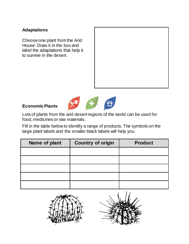Choose one plant from the Arid House. Draw it in the box and label the adaptations that help it to survive in the desert.



#### **Economic Plants**



Lots of plants from the arid desert regions of the world can be used for food, medicines or raw materials.

Fill in the table below to identify a range of products. The symbols on the large plant labels and the smaller black labels will help you.

| Name of plant | <b>Country of origin</b> | <b>Product</b> |
|---------------|--------------------------|----------------|
|               |                          |                |
|               |                          |                |
|               |                          |                |
|               |                          |                |
|               |                          |                |

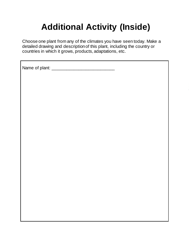## **Additional Activity (Inside)**

Choose one plant from any of the climates you have seen today. Make a detailed drawing and description of this plant, including the country or countries in which it grows, products, adaptations, etc.

Name of plant: \_\_\_\_\_\_\_\_\_\_\_\_\_\_\_\_\_\_\_\_\_\_\_\_\_\_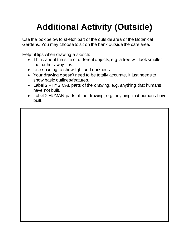## **Additional Activity (Outside)**

Use the box below to sketch part of the outside area of the Botanical Gardens. You may choose to sit on the bank outside the café area.

Helpful tips when drawing a sketch:

- Think about the size of different objects, e.g. a tree will look smaller the further away it is.
- Use shading to show light and darkness.
- Your drawing doesn't need to be totally accurate, it just needs to show basic outlines/features.
- Label 2 PHYSICAL parts of the drawing, e.g. anything that humans have not built.
- Label 2 HUMAN parts of the drawing, e.g. anything that humans have built.